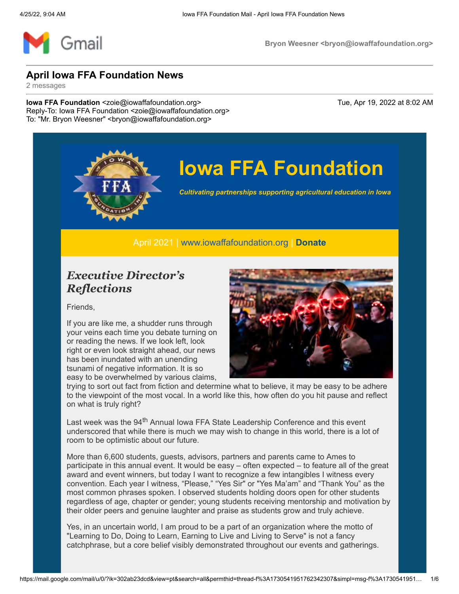

# **Iowa FFA Foundation**

*Cultivating partnerships supporting agricultural education in Iowa*

April 2021 | [www.iowaffafoundation.org](http://www.iowaffafoundation.org/) | **[Donate](https://eml-pusa01.app.blackbaud.net/intv2/j/ECBC5071-DEEA-4FA4-A1D1-F7769E1AA611/r/ECBC5071-DEEA-4FA4-A1D1-F7769E1AA611_8b1c6205-f317-4c3d-aa10-4ccbf0d7d7c1/l/20EA3C11-A959-4CE1-8FC6-66218A269859/c)**

### *Executive Director's Reflections*

Friends,

If you are like me, a shudder runs through your veins each time you debate turning on or reading the news. If we look left, look right or even look straight ahead, our news has been inundated with an unending tsunami of negative information. It is so easy to be overwhelmed by various claims,



trying to sort out fact from fiction and determine what to believe, it may be easy to be adhere to the viewpoint of the most vocal. In a world like this, how often do you hit pause and reflect on what is truly right?

Last week was the 94<sup>th</sup> Annual Iowa FFA State Leadership Conference and this event underscored that while there is much we may wish to change in this world, there is a lot of room to be optimistic about our future.

More than 6,600 students, guests, advisors, partners and parents came to Ames to participate in this annual event. It would be easy – often expected – to feature all of the great award and event winners, but today I want to recognize a few intangibles I witness every convention. Each year I witness, "Please," "Yes Sir" or "Yes Ma'am" and "Thank You" as the most common phrases spoken. I observed students holding doors open for other students regardless of age, chapter or gender; young students receiving mentorship and motivation by their older peers and genuine laughter and praise as students grow and truly achieve.

Yes, in an uncertain world, I am proud to be a part of an organization where the motto of "Learning to Do, Doing to Learn, Earning to Live and Living to Serve" is not a fancy catchphrase, but a core belief visibly demonstrated throughout our events and gatherings.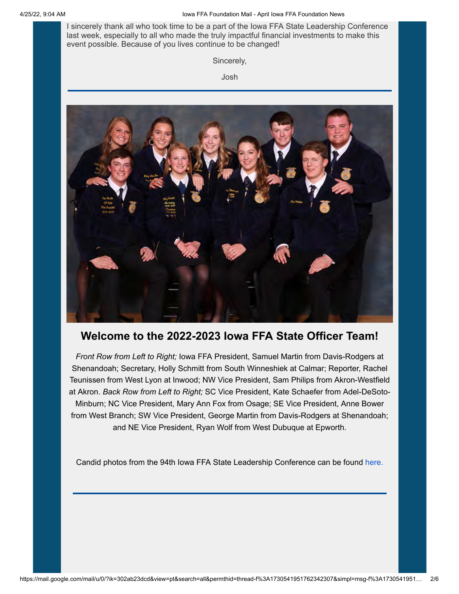I sincerely thank all who took time to be a part of the Iowa FFA State Leadership Conference last week, especially to all who made the truly impactful financial investments to make this event possible. Because of you lives continue to be changed!

Sincerely,

Josh



#### **Welcome to the 2022-2023 Iowa FFA State Officer Team!**

*Front Row from Left to Right;* Iowa FFA President, Samuel Martin from Davis-Rodgers at Shenandoah; Secretary, Holly Schmitt from South Winneshiek at Calmar; Reporter, Rachel Teunissen from West Lyon at Inwood; NW Vice President, Sam Philips from Akron-Westfield at Akron. *Back Row from Left to Right;* SC Vice President, Kate Schaefer from Adel-DeSoto-Minburn; NC Vice President, Mary Ann Fox from Osage; SE Vice President, Anne Bower from West Branch; SW Vice President, George Martin from Davis-Rodgers at Shenandoah; and NE Vice President, Ryan Wolf from West Dubuque at Epworth.

Candid photos from the 94th Iowa FFA State Leadership Conference can be found [here.](https://eml-pusa01.app.blackbaud.net/intv2/j/ECBC5071-DEEA-4FA4-A1D1-F7769E1AA611/r/ECBC5071-DEEA-4FA4-A1D1-F7769E1AA611_8b1c6205-f317-4c3d-aa10-4ccbf0d7d7c1/l/FB246475-98AD-4820-930D-7B36BE544FC2/c)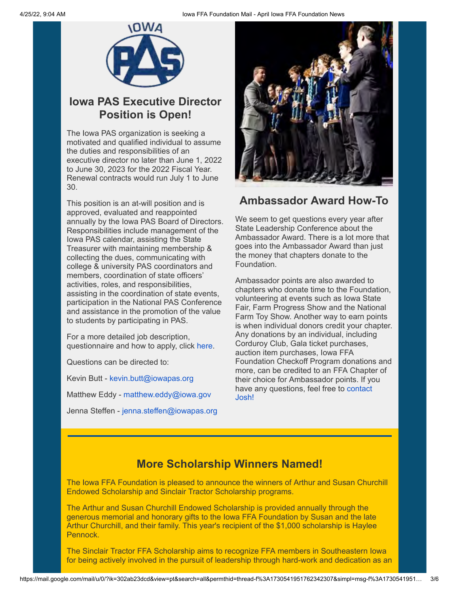

### **Iowa PAS Executive Director Position is Open!**

The Iowa PAS organization is seeking a motivated and qualified individual to assume the duties and responsibilities of an executive director no later than June 1, 2022 to June 30, 2023 for the 2022 Fiscal Year. Renewal contracts would run July 1 to June 30.

This position is an at-will position and is approved, evaluated and reappointed annually by the Iowa PAS Board of Directors. Responsibilities include management of the Iowa PAS calendar, assisting the State Treasurer with maintaining membership & collecting the dues, communicating with college & university PAS coordinators and members, coordination of state officers' activities, roles, and responsibilities, assisting in the coordination of state events, participation in the National PAS Conference and assistance in the promotion of the value to students by participating in PAS.

For a more detailed job description, questionnaire and how to apply, click [here](https://eml-pusa01.app.blackbaud.net/intv2/j/ECBC5071-DEEA-4FA4-A1D1-F7769E1AA611/r/ECBC5071-DEEA-4FA4-A1D1-F7769E1AA611_8b1c6205-f317-4c3d-aa10-4ccbf0d7d7c1/l/72365B1A-D94B-43FB-A07A-639DECBAF633/c).

Questions can be directed to:

Kevin Butt - [kevin.butt@iowapas.org](mailto:kevin.butt@iowapas.org?subject=Iowa%20PAS+Executive+Director+Position)

Matthew Eddy - [matthew.eddy@iowa.gov](mailto:matthew.eddy@iowa.gov?subject=Iowa%20PAS+Executive+Director+Position)

Jenna Steffen - [jenna.steffen@iowapas.org](mailto:jenna.steffen@iowapas.org?subject=Iowa%20PAS+Executive+Director+Position)



#### **Ambassador Award How-To**

We seem to get questions every year after State Leadership Conference about the Ambassador Award. There is a lot more that goes into the Ambassador Award than just the money that chapters donate to the Foundation.

Ambassador points are also awarded to chapters who donate time to the Foundation, volunteering at events such as Iowa State Fair, Farm Progress Show and the National Farm Toy Show. Another way to earn points is when individual donors credit your chapter. Any donations by an individual, including Corduroy Club, Gala ticket purchases, auction item purchases, Iowa FFA Foundation Checkoff Program donations and more, can be credited to an FFA Chapter of their choice for Ambassador points. If you [have any questions, feel free to contact](mailto:joshua.remington@iowaffafoundation.org?subject=Ambassador%20Award+Questions) Josh!

#### **More Scholarship Winners Named!**

The Iowa FFA Foundation is pleased to announce the winners of Arthur and Susan Churchill Endowed Scholarship and Sinclair Tractor Scholarship programs.

The Arthur and Susan Churchill Endowed Scholarship is provided annually through the generous memorial and honorary gifts to the Iowa FFA Foundation by Susan and the late Arthur Churchill, and their family. This year's recipient of the \$1,000 scholarship is Haylee Pennock.

The Sinclair Tractor FFA Scholarship aims to recognize FFA members in Southeastern Iowa for being actively involved in the pursuit of leadership through hard-work and dedication as an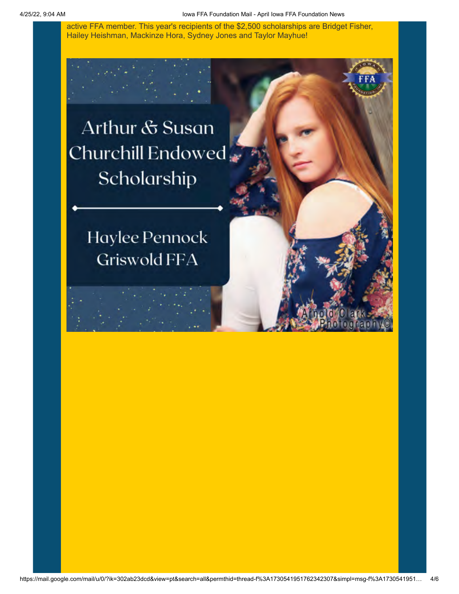active FFA member. This year's recipients of the \$2,500 scholarships are Bridget Fisher, Hailey Heishman, Mackinze Hora, Sydney Jones and Taylor Mayhue!

Arthur & Susan Churchill Endowed Scholarship

> Haylee Pennock **Griswold FFA**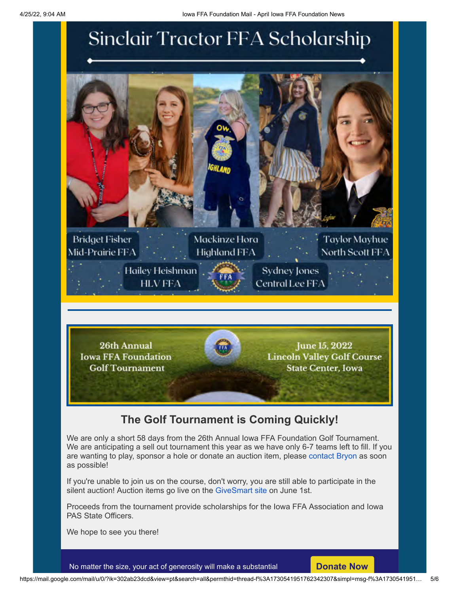## Sinclair Tractor FFA Scholarship



26th Annual June 15, 2022 **Iowa FFA Foundation Lincoln Valley Golf Course Golf Tournament State Center, Iowa** 

### **The Golf Tournament is Coming Quickly!**

We are only a short 58 days from the 26th Annual Iowa FFA Foundation Golf Tournament. We are anticipating a sell out tournament this year as we have only 6-7 teams left to fill. If you are wanting to play, sponsor a hole or donate an auction item, please [contact Bryon](mailto:bryon@iowaffafoundation.org?subject=26th%20Annual+Iowa+FFA+Foundation+Golf+Tournament) as soon as possible!

If you're unable to join us on the course, don't worry, you are still able to participate in the silent auction! Auction items go live on the [GiveSmart site](https://eml-pusa01.app.blackbaud.net/intv2/j/ECBC5071-DEEA-4FA4-A1D1-F7769E1AA611/r/ECBC5071-DEEA-4FA4-A1D1-F7769E1AA611_8b1c6205-f317-4c3d-aa10-4ccbf0d7d7c1/l/7A7C316A-43FF-4DCE-B059-7F9B468485C1/c) on June 1st.

Proceeds from the tournament provide scholarships for the Iowa FFA Association and Iowa PAS State Officers.

We hope to see you there!

No matter the size, your act of generosity will make a substantial **[Donate Now](https://eml-pusa01.app.blackbaud.net/intv2/j/ECBC5071-DEEA-4FA4-A1D1-F7769E1AA611/r/ECBC5071-DEEA-4FA4-A1D1-F7769E1AA611_8b1c6205-f317-4c3d-aa10-4ccbf0d7d7c1/l/0F3FF6F8-F6E2-4D3C-A3B3-7D0E70EF57C1/c)**